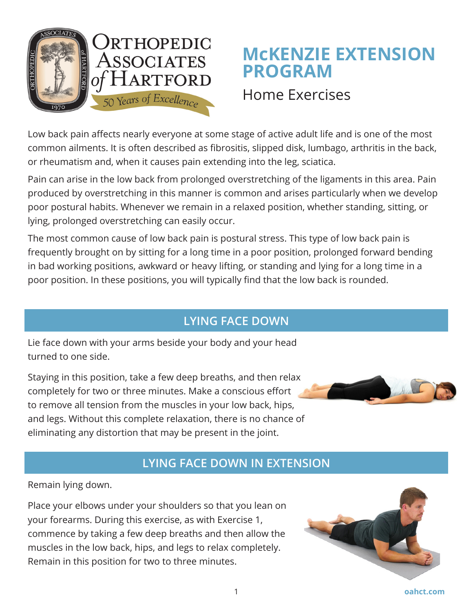

# **McKENZIE EXTENSION PROGRAM**

## Home Exercises

Low back pain affects nearly everyone at some stage of active adult life and is one of the most common ailments. It is often described as fibrositis, slipped disk, lumbago, arthritis in the back, or rheumatism and, when it causes pain extending into the leg, sciatica.

Pain can arise in the low back from prolonged overstretching of the ligaments in this area. Pain produced by overstretching in this manner is common and arises particularly when we develop poor postural habits. Whenever we remain in a relaxed position, whether standing, sitting, or lying, prolonged overstretching can easily occur.

The most common cause of low back pain is postural stress. This type of low back pain is frequently brought on by sitting for a long time in a poor position, prolonged forward bending in bad working positions, awkward or heavy lifting, or standing and lying for a long time in a poor position. In these positions, you will typically find that the low back is rounded.

### **LYING FACE DOWN**

Lie face down with your arms beside your body and your head turned to one side.

Staying in this position, take a few deep breaths, and then relax completely for two or three minutes. Make a conscious effort to remove all tension from the muscles in your low back, hips, and legs. Without this complete relaxation, there is no chance of eliminating any distortion that may be present in the joint.

#### **LYING FACE DOWN IN EXTENSION**

Remain lying down.

Place your elbows under your shoulders so that you lean on your forearms. During this exercise, as with Exercise 1, commence by taking a few deep breaths and then allow the muscles in the low back, hips, and legs to relax completely. Remain in this position for two to three minutes.



1 **oahct.com**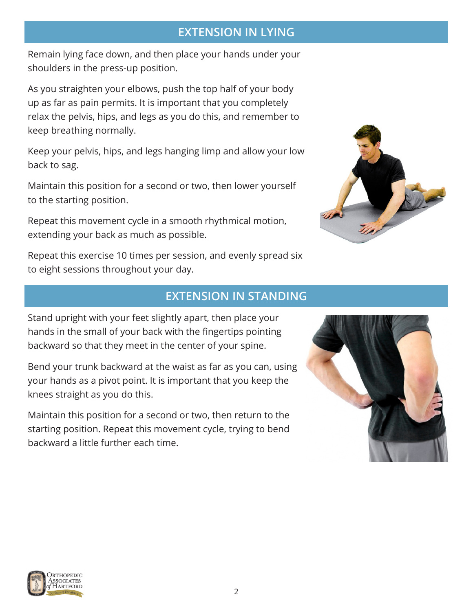#### **EXTENSION IN LYING**

Remain lying face down, and then place your hands under your shoulders in the press-up position.

As you straighten your elbows, push the top half of your body up as far as pain permits. It is important that you completely relax the pelvis, hips, and legs as you do this, and remember to keep breathing normally.

Keep your pelvis, hips, and legs hanging limp and allow your low back to sag.

Maintain this position for a second or two, then lower yourself to the starting position.

Repeat this movement cycle in a smooth rhythmical motion, extending your back as much as possible.



Repeat this exercise 10 times per session, and evenly spread six to eight sessions throughout your day.

#### **EXTENSION IN STANDING**

Stand upright with your feet slightly apart, then place your hands in the small of your back with the fingertips pointing backward so that they meet in the center of your spine.

Bend your trunk backward at the waist as far as you can, using your hands as a pivot point. It is important that you keep the knees straight as you do this.

Maintain this position for a second or two, then return to the starting position. Repeat this movement cycle, trying to bend backward a little further each time.